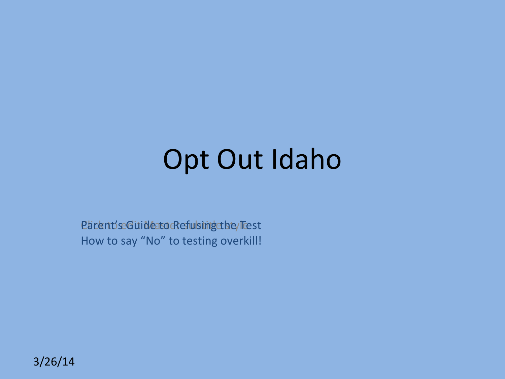### Opt Out Idaho

Parent's Guide to Refulsing the Test How to say "No" to testing overkill!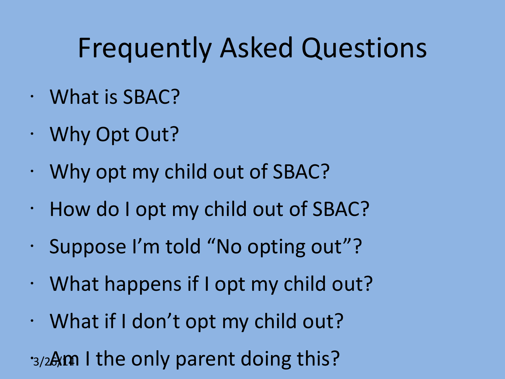### Frequently Asked Questions

- What is SBAC?
- Why Opt Out?
- Why opt my child out of SBAC?
- How do I opt my child out of SBAC?
- Suppose I'm told "No opting out"?
- What happens if I opt my child out?
- What if I don't opt my child out?

3/2Am I the only parent doing this?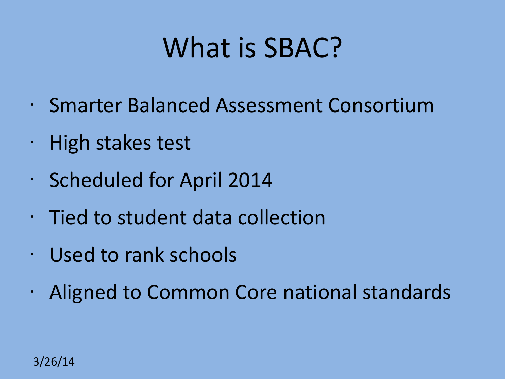### What is SBAC?

- Smarter Balanced Assessment Consortium
- High stakes test
- Scheduled for April 2014
- Tied to student data collection
- Used to rank schools
- Aligned to Common Core national standards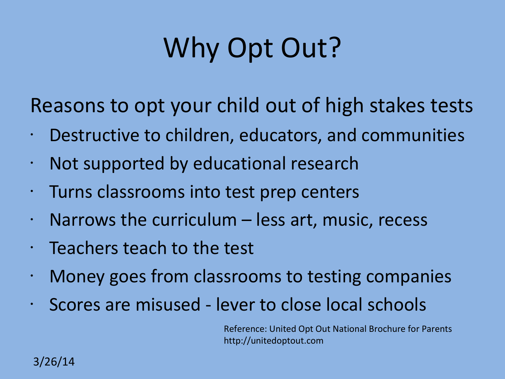# Why Opt Out?

Reasons to opt your child out of high stakes tests

- Destructive to children, educators, and communities
- Not supported by educational research
- Turns classrooms into test prep centers
- $\cdot$  Narrows the curriculum less art, music, recess
- Teachers teach to the test
- Money goes from classrooms to testing companies
- Scores are misused lever to close local schools

Reference: United Opt Out National Brochure for Parents [http://unitedoptout.com](http://unitedoptout.com/)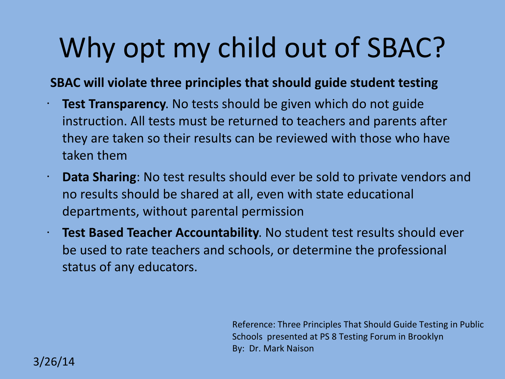# Why opt my child out of SBAC?

#### **SBAC will violate three principles that should guide student testing**

- **Test Transparency.** No tests should be given which do not guide instruction. All tests must be returned to teachers and parents after they are taken so their results can be reviewed with those who have taken them
- **Data Sharing**: No test results should ever be sold to private vendors and no results should be shared at all, even with state educational departments, without parental permission
- **Test Based Teacher Accountability**. No student test results should ever be used to rate teachers and schools, or determine the professional status of any educators.

Reference: Three Principles That Should Guide Testing in Public Schools presented at PS 8 Testing Forum in Brooklyn By: Dr. Mark Naison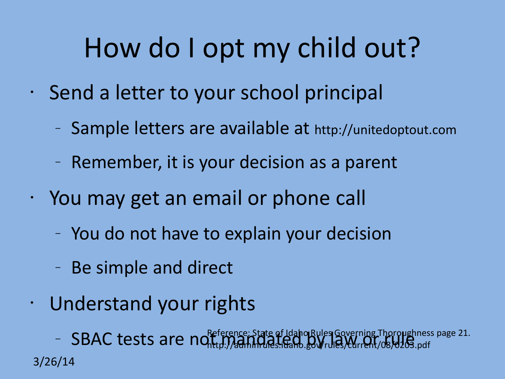# How do I opt my child out?

- Send a letter to your school principal
	- Sample letters are available at [http://unitedoptout.com](http://unitedoptout.com/)
	- Remember, it is your decision as a parent
- You may get an email or phone call
	- You do not have to explain your decision
	- Be simple and direct
- Understand your rights

3/26/14 – SBAC tests are not mandated by Idaho Rules Governing Thoroughness page 21.<br>- SBAC tests are not the Manufactures. The Section of Multiple Current/08/0203.pdf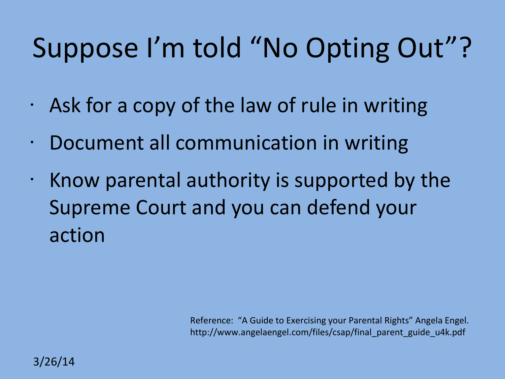# Suppose I'm told "No Opting Out"?

- $\cdot$  Ask for a copy of the law of rule in writing
- Document all communication in writing
- $\cdot$  Know parental authority is supported by the Supreme Court and you can defend your action

Reference: "A Guide to Exercising your Parental Rights" Angela Engel. [http://www.angelaengel.com/files/csap/final\\_parent\\_guide\\_u4k.pdf](http://www.angelaengel.com/files/csap/final_parent_guide_u4k.pdf)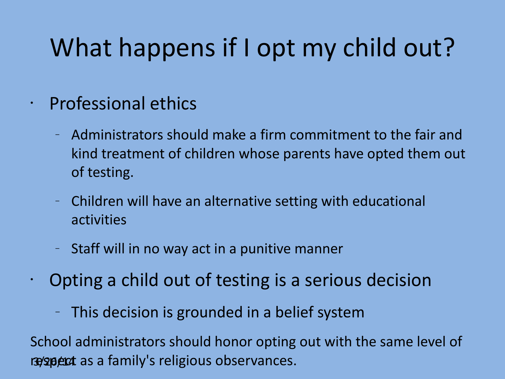### What happens if I opt my child out?

#### • Professional ethics

- Administrators should make a firm commitment to the fair and kind treatment of children whose parents have opted them out of testing.
- Children will have an alternative setting with educational activities
- Staff will in no way act in a punitive manner
- Opting a child out of testing is a serious decision
	- This decision is grounded in a belief system

respect as a family's religious observances. School administrators should honor opting out with the same level of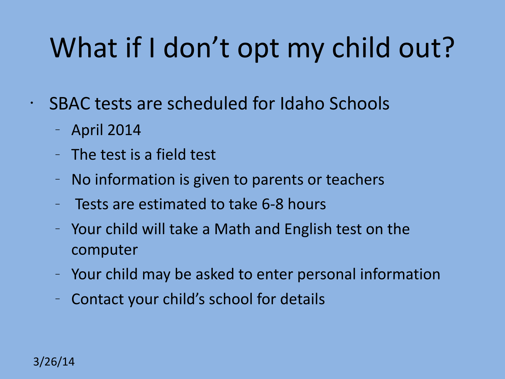# What if I don't opt my child out?

- SBAC tests are scheduled for Idaho Schools
	- April 2014
	- The test is a field test
	- No information is given to parents or teachers
	- Tests are estimated to take 6-8 hours
	- Your child will take a Math and English test on the computer
	- Your child may be asked to enter personal information
	- Contact your child's school for details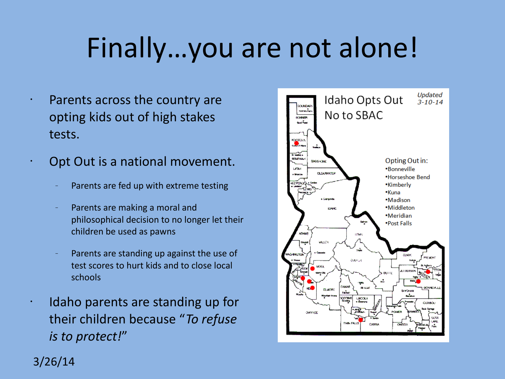# Finally…you are not alone!

- Parents across the country are opting kids out of high stakes tests.
- Opt Out is a national movement.
	- Parents are fed up with extreme testing
	- Parents are making a moral and philosophical decision to no longer let their children be used as pawns
	- Parents are standing up against the use of test scores to hurt kids and to close local schools
	- Idaho parents are standing up for their children because "*To refuse is to protect!*"



#### 3/26/14

•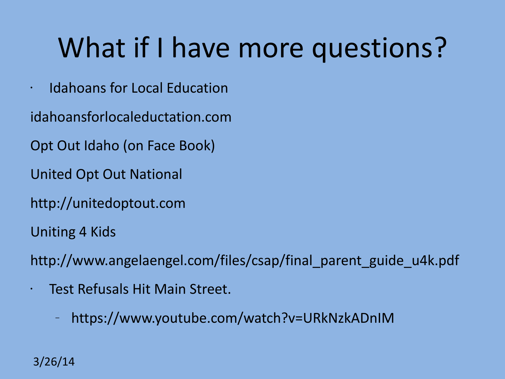# What if I have more questions?

- Idahoans for Local Education
- [idahoansforlocaleductation.com](http://www.idahoansforlocaleductation.com/)
- Opt Out Idaho (on Face Book)
- United Opt Out National
- [http://unitedoptout.com](http://unitedoptout.com/)
- Uniting 4 Kids
- [http://www.angelaengel.com/files/csap/final\\_parent\\_guide\\_u4k.pdf](http://www.angelaengel.com/files/csap/final_parent_guide_u4k.pdf)
- Test Refusals Hit Main Street.
	- <https://www.youtube.com/watch?v=URkNzkADnIM>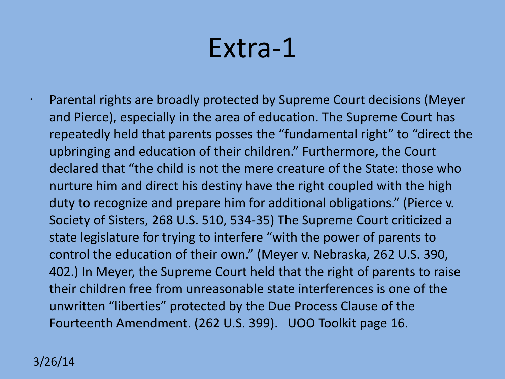### Extra-1

• Parental rights are broadly protected by Supreme Court decisions (Meyer and Pierce), especially in the area of education. The Supreme Court has repeatedly held that parents posses the "fundamental right" to "direct the upbringing and education of their children." Furthermore, the Court declared that "the child is not the mere creature of the State: those who nurture him and direct his destiny have the right coupled with the high duty to recognize and prepare him for additional obligations." (Pierce v. Society of Sisters, 268 U.S. 510, 534-35) The Supreme Court criticized a state legislature for trying to interfere "with the power of parents to control the education of their own." (Meyer v. Nebraska, 262 U.S. 390, 402.) In Meyer, the Supreme Court held that the right of parents to raise their children free from unreasonable state interferences is one of the unwritten "liberties" protected by the Due Process Clause of the Fourteenth Amendment. (262 U.S. 399). UOO Toolkit page 16.